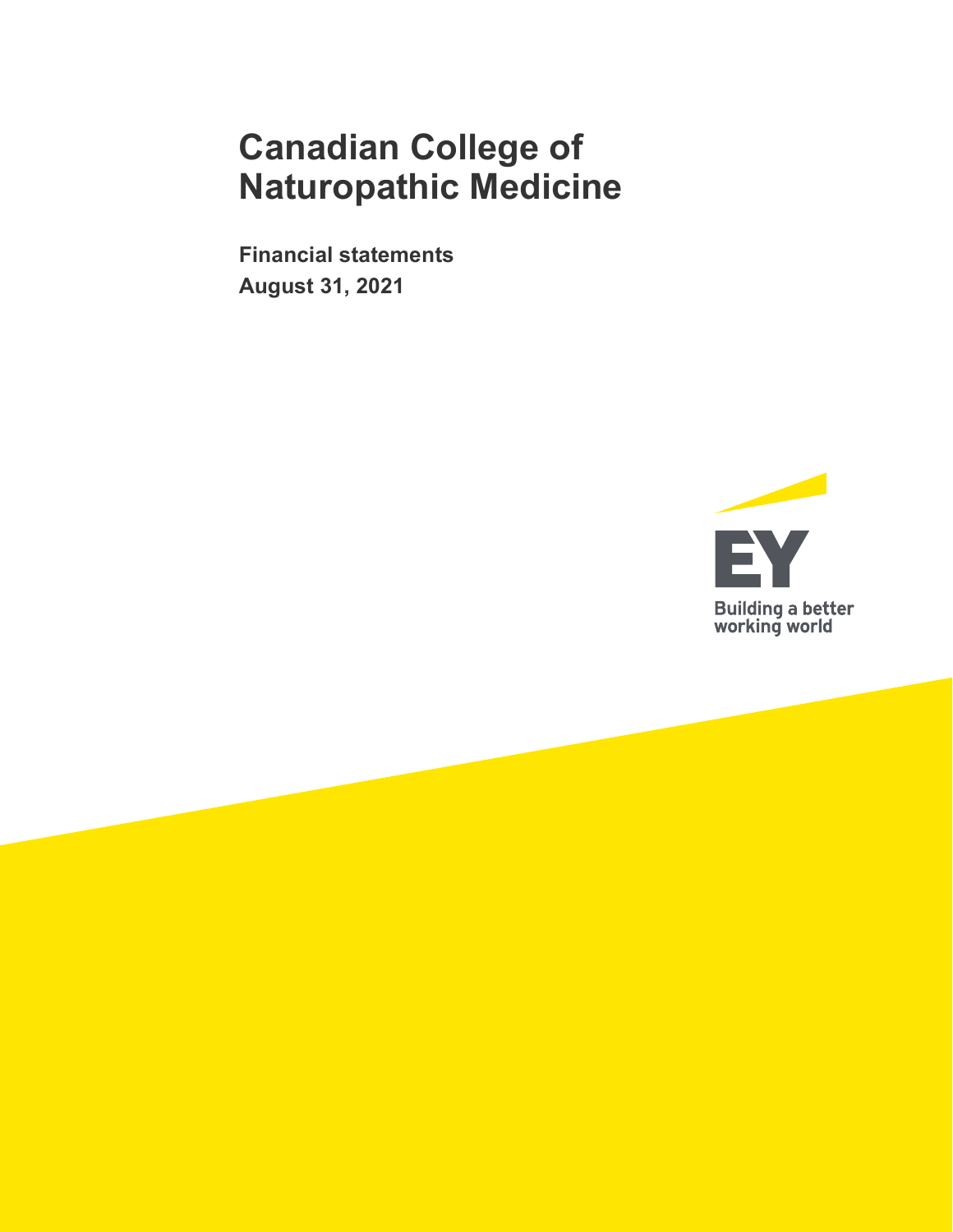**Financial statements August 31, 2021**

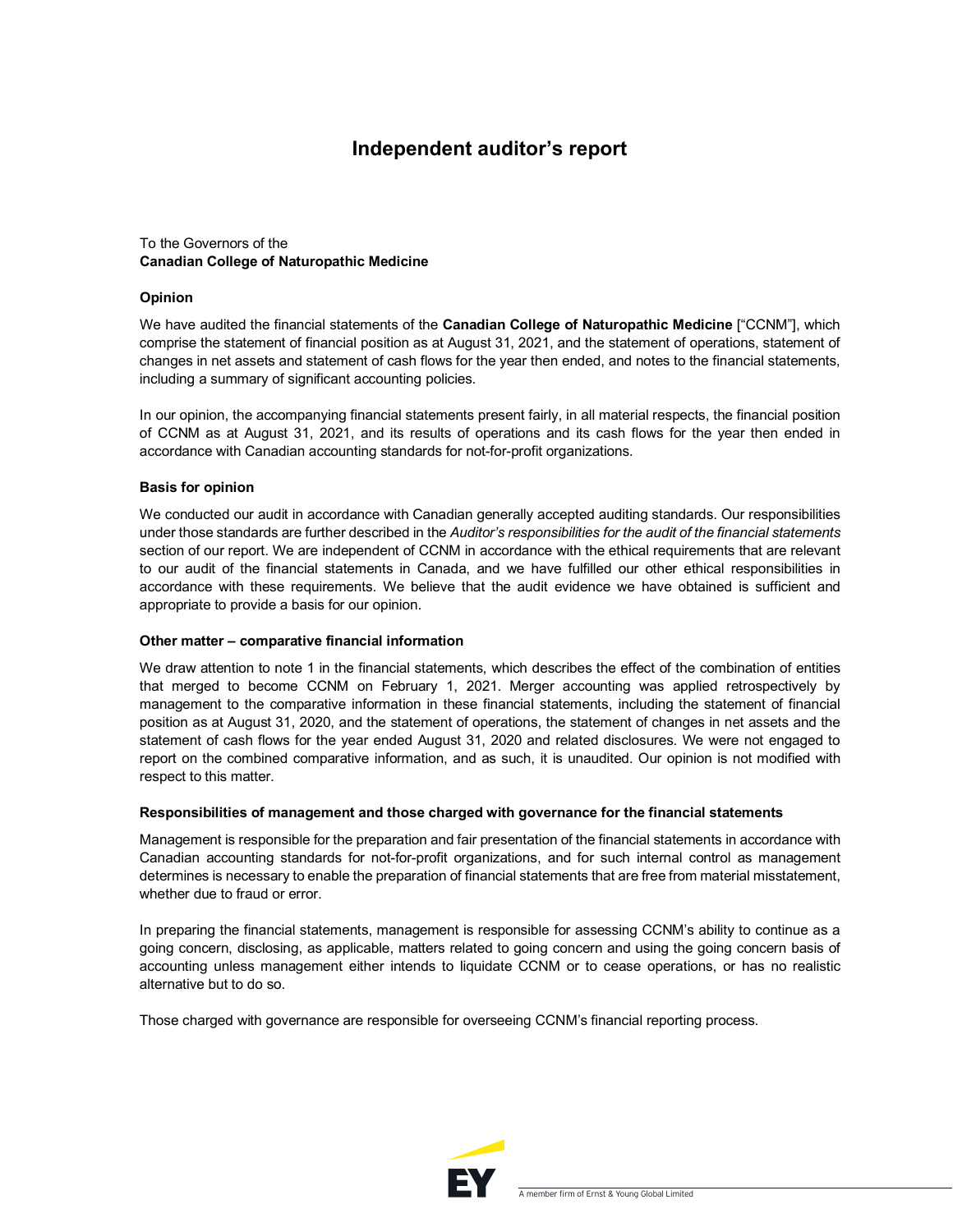### **Independent auditor's report**

### To the Governors of the **Canadian College of Naturopathic Medicine**

#### **Opinion**

We have audited the financial statements of the **Canadian College of Naturopathic Medicine** ["CCNM"], which comprise the statement of financial position as at August 31, 2021, and the statement of operations, statement of changes in net assets and statement of cash flows for the year then ended, and notes to the financial statements, including a summary of significant accounting policies.

In our opinion, the accompanying financial statements present fairly, in all material respects, the financial position of CCNM as at August 31, 2021, and its results of operations and its cash flows for the year then ended in accordance with Canadian accounting standards for not-for-profit organizations.

#### **Basis for opinion**

We conducted our audit in accordance with Canadian generally accepted auditing standards. Our responsibilities under those standards are further described in the *Auditor's responsibilities for the audit of the financial statements*  section of our report. We are independent of CCNM in accordance with the ethical requirements that are relevant to our audit of the financial statements in Canada, and we have fulfilled our other ethical responsibilities in accordance with these requirements. We believe that the audit evidence we have obtained is sufficient and appropriate to provide a basis for our opinion.

#### **Other matter – comparative financial information**

We draw attention to note 1 in the financial statements, which describes the effect of the combination of entities that merged to become CCNM on February 1, 2021. Merger accounting was applied retrospectively by management to the comparative information in these financial statements, including the statement of financial position as at August 31, 2020, and the statement of operations, the statement of changes in net assets and the statement of cash flows for the year ended August 31, 2020 and related disclosures. We were not engaged to report on the combined comparative information, and as such, it is unaudited. Our opinion is not modified with respect to this matter.

#### **Responsibilities of management and those charged with governance for the financial statements**

Management is responsible for the preparation and fair presentation of the financial statements in accordance with Canadian accounting standards for not-for-profit organizations, and for such internal control as management determines is necessary to enable the preparation of financial statements that are free from material misstatement, whether due to fraud or error.

In preparing the financial statements, management is responsible for assessing CCNM's ability to continue as a going concern, disclosing, as applicable, matters related to going concern and using the going concern basis of accounting unless management either intends to liquidate CCNM or to cease operations, or has no realistic alternative but to do so.

Those charged with governance are responsible for overseeing CCNM's financial reporting process.

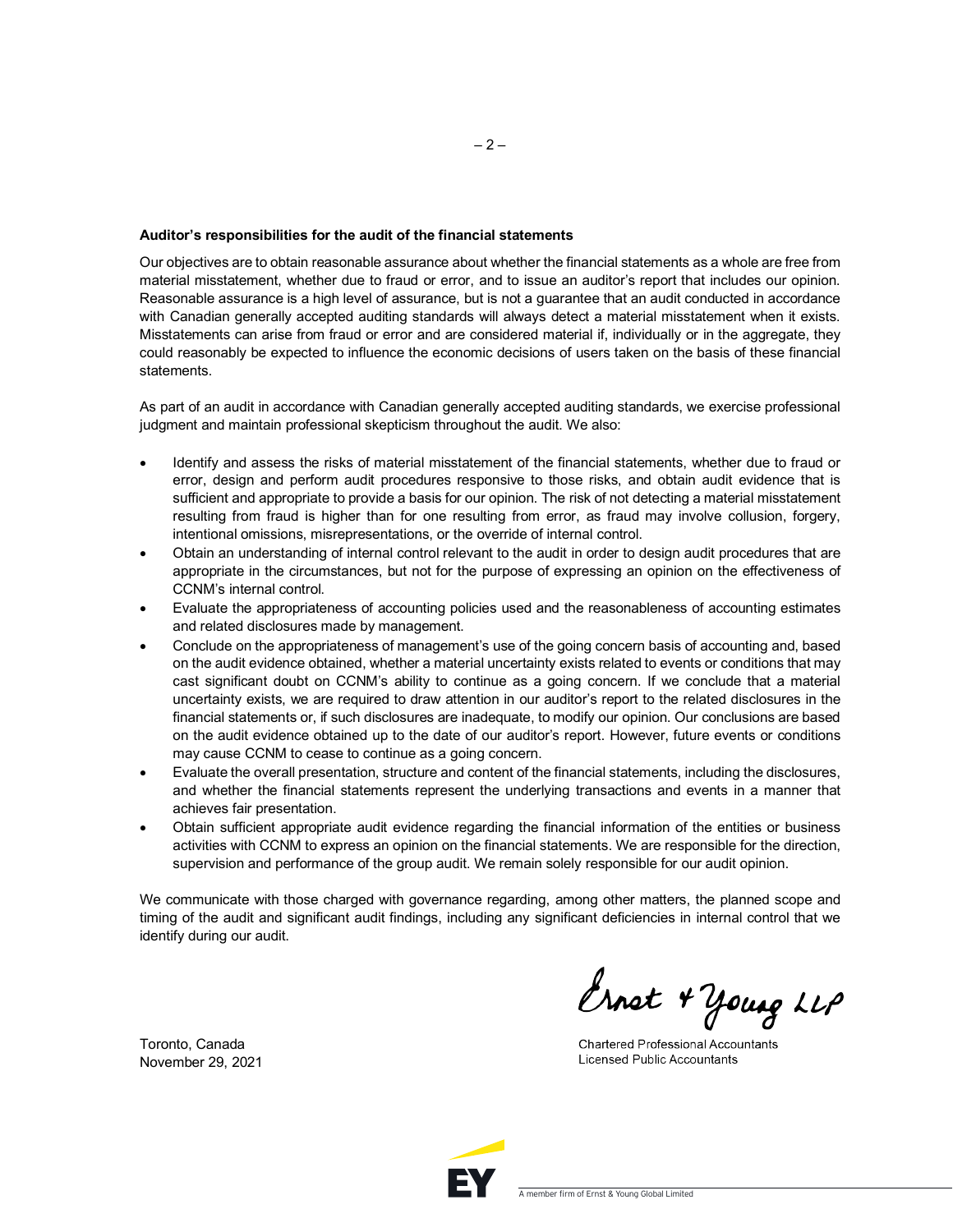#### **Auditor's responsibilities for the audit of the financial statements**

Our objectives are to obtain reasonable assurance about whether the financial statements as a whole are free from material misstatement, whether due to fraud or error, and to issue an auditor's report that includes our opinion. Reasonable assurance is a high level of assurance, but is not a guarantee that an audit conducted in accordance with Canadian generally accepted auditing standards will always detect a material misstatement when it exists. Misstatements can arise from fraud or error and are considered material if, individually or in the aggregate, they could reasonably be expected to influence the economic decisions of users taken on the basis of these financial statements.

As part of an audit in accordance with Canadian generally accepted auditing standards, we exercise professional judgment and maintain professional skepticism throughout the audit. We also:

- Identify and assess the risks of material misstatement of the financial statements, whether due to fraud or error, design and perform audit procedures responsive to those risks, and obtain audit evidence that is sufficient and appropriate to provide a basis for our opinion. The risk of not detecting a material misstatement resulting from fraud is higher than for one resulting from error, as fraud may involve collusion, forgery, intentional omissions, misrepresentations, or the override of internal control.
- Obtain an understanding of internal control relevant to the audit in order to design audit procedures that are appropriate in the circumstances, but not for the purpose of expressing an opinion on the effectiveness of CCNM's internal control.
- Evaluate the appropriateness of accounting policies used and the reasonableness of accounting estimates and related disclosures made by management.
- Conclude on the appropriateness of management's use of the going concern basis of accounting and, based on the audit evidence obtained, whether a material uncertainty exists related to events or conditions that may cast significant doubt on CCNM's ability to continue as a going concern. If we conclude that a material uncertainty exists, we are required to draw attention in our auditor's report to the related disclosures in the financial statements or, if such disclosures are inadequate, to modify our opinion. Our conclusions are based on the audit evidence obtained up to the date of our auditor's report. However, future events or conditions may cause CCNM to cease to continue as a going concern.
- Evaluate the overall presentation, structure and content of the financial statements, including the disclosures, and whether the financial statements represent the underlying transactions and events in a manner that achieves fair presentation.
- Obtain sufficient appropriate audit evidence regarding the financial information of the entities or business activities with CCNM to express an opinion on the financial statements. We are responsible for the direction, supervision and performance of the group audit. We remain solely responsible for our audit opinion.

We communicate with those charged with governance regarding, among other matters, the planned scope and timing of the audit and significant audit findings, including any significant deficiencies in internal control that we identify during our audit.

Ernst + Young LLP

**Chartered Professional Accountants Licensed Public Accountants** 

Toronto, Canada November 29, 2021

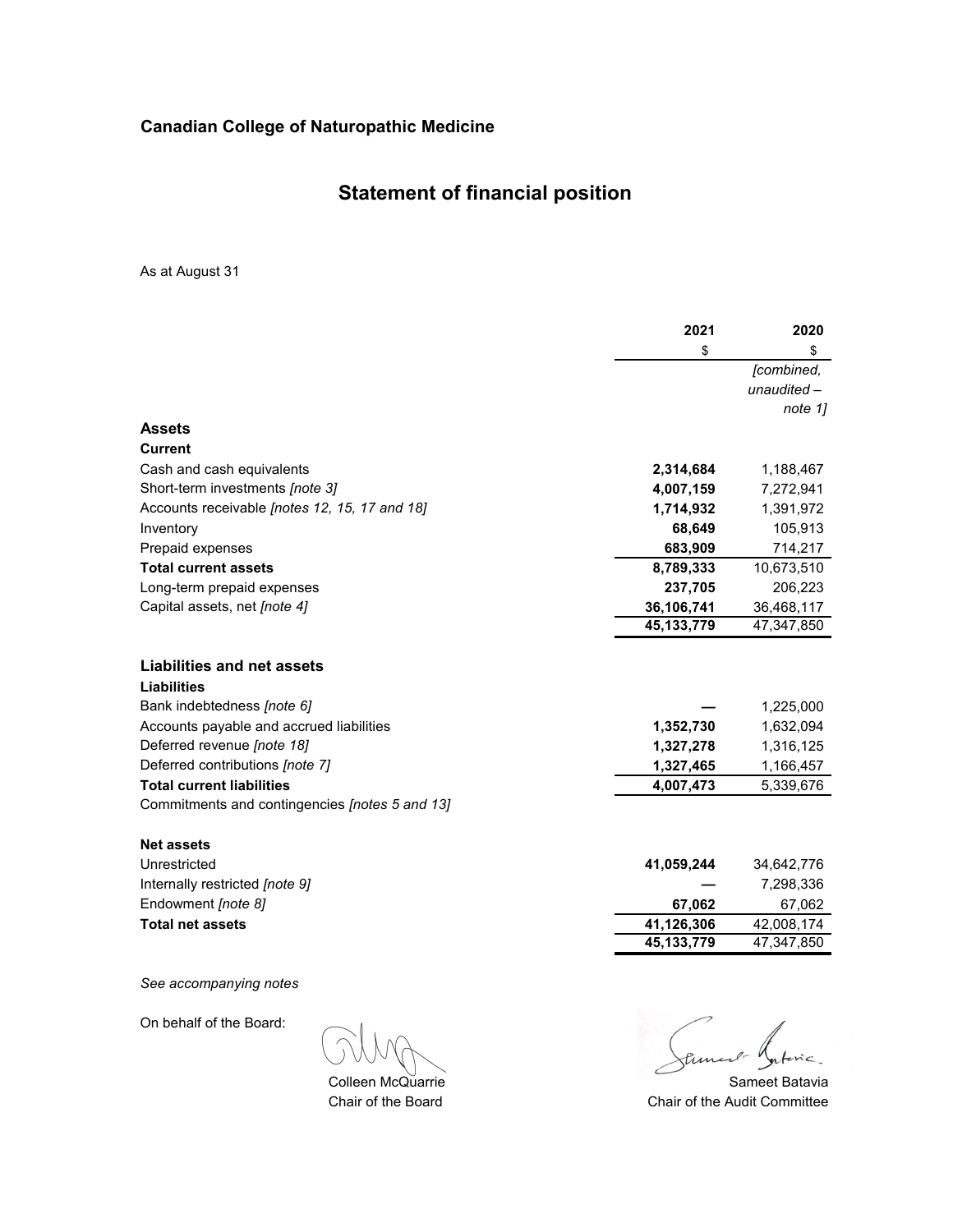# **Statement of financial position**

As at August 31

| \$<br>\$<br><b>Assets</b><br><b>Current</b><br>Cash and cash equivalents<br>2,314,684<br>Short-term investments [note 3]<br>4,007,159<br>Accounts receivable [notes 12, 15, 17 and 18]<br>1,714,932<br>68,649<br>Inventory<br>683,909<br>Prepaid expenses<br><b>Total current assets</b><br>8,789,333<br>Long-term prepaid expenses<br>237,705<br>Capital assets, net [note 4]<br>36,106,741<br>45, 133, 779<br><b>Liabilities and net assets</b><br><b>Liabilities</b><br>Bank indebtedness [note 6]<br>Accounts payable and accrued liabilities<br>1,352,730<br>Deferred revenue [note 18]<br>1,327,278<br>Deferred contributions [note 7]<br>1,327,465<br><b>Total current liabilities</b><br>4,007,473<br>Commitments and contingencies [notes 5 and 13]<br><b>Net assets</b><br>Unrestricted<br>41,059,244<br>34,642,776<br>Internally restricted [note 9]<br>7,298,336<br>Endowment [note 8]<br>67,062 |                         | 2021       | 2020       |
|--------------------------------------------------------------------------------------------------------------------------------------------------------------------------------------------------------------------------------------------------------------------------------------------------------------------------------------------------------------------------------------------------------------------------------------------------------------------------------------------------------------------------------------------------------------------------------------------------------------------------------------------------------------------------------------------------------------------------------------------------------------------------------------------------------------------------------------------------------------------------------------------------------------|-------------------------|------------|------------|
|                                                                                                                                                                                                                                                                                                                                                                                                                                                                                                                                                                                                                                                                                                                                                                                                                                                                                                              |                         |            |            |
|                                                                                                                                                                                                                                                                                                                                                                                                                                                                                                                                                                                                                                                                                                                                                                                                                                                                                                              |                         |            | [combined, |
|                                                                                                                                                                                                                                                                                                                                                                                                                                                                                                                                                                                                                                                                                                                                                                                                                                                                                                              |                         |            | unaudited- |
|                                                                                                                                                                                                                                                                                                                                                                                                                                                                                                                                                                                                                                                                                                                                                                                                                                                                                                              |                         |            | note 1]    |
|                                                                                                                                                                                                                                                                                                                                                                                                                                                                                                                                                                                                                                                                                                                                                                                                                                                                                                              |                         |            |            |
|                                                                                                                                                                                                                                                                                                                                                                                                                                                                                                                                                                                                                                                                                                                                                                                                                                                                                                              |                         |            |            |
|                                                                                                                                                                                                                                                                                                                                                                                                                                                                                                                                                                                                                                                                                                                                                                                                                                                                                                              |                         |            | 1,188,467  |
|                                                                                                                                                                                                                                                                                                                                                                                                                                                                                                                                                                                                                                                                                                                                                                                                                                                                                                              |                         |            | 7,272,941  |
|                                                                                                                                                                                                                                                                                                                                                                                                                                                                                                                                                                                                                                                                                                                                                                                                                                                                                                              |                         |            | 1,391,972  |
|                                                                                                                                                                                                                                                                                                                                                                                                                                                                                                                                                                                                                                                                                                                                                                                                                                                                                                              |                         |            | 105,913    |
|                                                                                                                                                                                                                                                                                                                                                                                                                                                                                                                                                                                                                                                                                                                                                                                                                                                                                                              |                         |            | 714,217    |
|                                                                                                                                                                                                                                                                                                                                                                                                                                                                                                                                                                                                                                                                                                                                                                                                                                                                                                              |                         |            | 10,673,510 |
|                                                                                                                                                                                                                                                                                                                                                                                                                                                                                                                                                                                                                                                                                                                                                                                                                                                                                                              |                         |            | 206,223    |
|                                                                                                                                                                                                                                                                                                                                                                                                                                                                                                                                                                                                                                                                                                                                                                                                                                                                                                              |                         |            | 36,468,117 |
|                                                                                                                                                                                                                                                                                                                                                                                                                                                                                                                                                                                                                                                                                                                                                                                                                                                                                                              |                         |            | 47,347,850 |
|                                                                                                                                                                                                                                                                                                                                                                                                                                                                                                                                                                                                                                                                                                                                                                                                                                                                                                              |                         |            |            |
|                                                                                                                                                                                                                                                                                                                                                                                                                                                                                                                                                                                                                                                                                                                                                                                                                                                                                                              |                         |            |            |
|                                                                                                                                                                                                                                                                                                                                                                                                                                                                                                                                                                                                                                                                                                                                                                                                                                                                                                              |                         |            | 1,225,000  |
|                                                                                                                                                                                                                                                                                                                                                                                                                                                                                                                                                                                                                                                                                                                                                                                                                                                                                                              |                         |            | 1,632,094  |
|                                                                                                                                                                                                                                                                                                                                                                                                                                                                                                                                                                                                                                                                                                                                                                                                                                                                                                              |                         |            | 1,316,125  |
|                                                                                                                                                                                                                                                                                                                                                                                                                                                                                                                                                                                                                                                                                                                                                                                                                                                                                                              |                         |            | 1,166,457  |
|                                                                                                                                                                                                                                                                                                                                                                                                                                                                                                                                                                                                                                                                                                                                                                                                                                                                                                              |                         |            | 5,339,676  |
|                                                                                                                                                                                                                                                                                                                                                                                                                                                                                                                                                                                                                                                                                                                                                                                                                                                                                                              |                         |            |            |
|                                                                                                                                                                                                                                                                                                                                                                                                                                                                                                                                                                                                                                                                                                                                                                                                                                                                                                              |                         |            |            |
|                                                                                                                                                                                                                                                                                                                                                                                                                                                                                                                                                                                                                                                                                                                                                                                                                                                                                                              |                         |            |            |
|                                                                                                                                                                                                                                                                                                                                                                                                                                                                                                                                                                                                                                                                                                                                                                                                                                                                                                              |                         |            |            |
|                                                                                                                                                                                                                                                                                                                                                                                                                                                                                                                                                                                                                                                                                                                                                                                                                                                                                                              |                         |            | 67,062     |
|                                                                                                                                                                                                                                                                                                                                                                                                                                                                                                                                                                                                                                                                                                                                                                                                                                                                                                              | <b>Total net assets</b> | 41,126,306 | 42,008,174 |
| 45, 133, 779                                                                                                                                                                                                                                                                                                                                                                                                                                                                                                                                                                                                                                                                                                                                                                                                                                                                                                 |                         |            | 47,347,850 |
|                                                                                                                                                                                                                                                                                                                                                                                                                                                                                                                                                                                                                                                                                                                                                                                                                                                                                                              |                         |            |            |

*See accompanying notes*

On behalf of the Board:

Colleen McQuarrie Chair of the Board

tune  $\sim$ 

Chair of the Audit Committee Sameet Batavia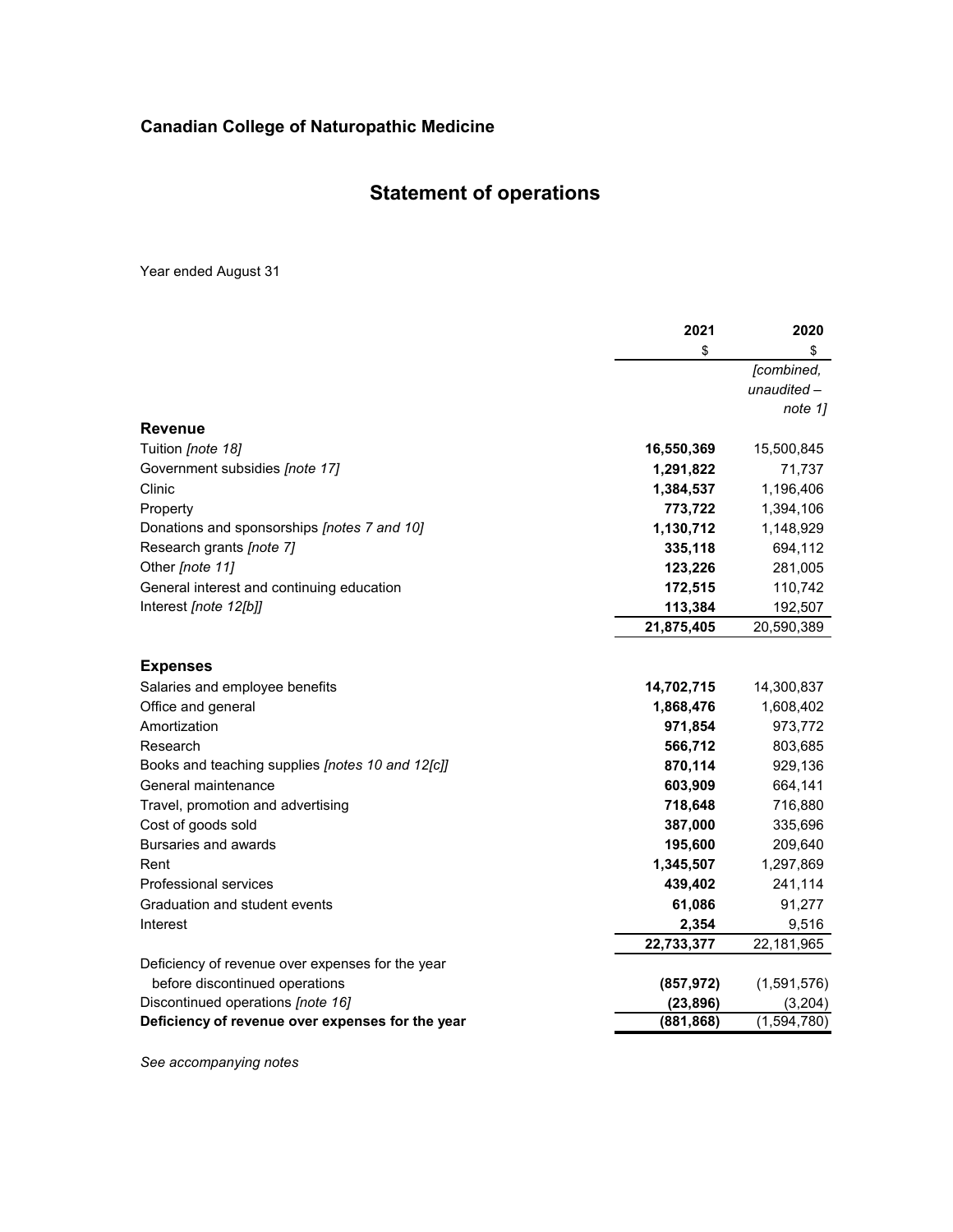# **Statement of operations**

Year ended August 31

|                                                  | 2021       | 2020        |
|--------------------------------------------------|------------|-------------|
|                                                  | \$         | \$          |
|                                                  |            | [combined,  |
|                                                  |            | unaudited-  |
|                                                  |            | note 1]     |
| <b>Revenue</b>                                   |            |             |
| Tuition [note 18]                                | 16,550,369 | 15,500,845  |
| Government subsidies [note 17]                   | 1,291,822  | 71,737      |
| Clinic                                           | 1,384,537  | 1,196,406   |
| Property                                         | 773,722    | 1,394,106   |
| Donations and sponsorships [notes 7 and 10]      | 1,130,712  | 1,148,929   |
| Research grants [note 7]                         | 335,118    | 694,112     |
| Other [note 11]                                  | 123,226    | 281,005     |
| General interest and continuing education        | 172,515    | 110,742     |
| Interest [note 12[b]]                            | 113,384    | 192,507     |
|                                                  | 21,875,405 | 20,590,389  |
| <b>Expenses</b>                                  |            |             |
| Salaries and employee benefits                   | 14,702,715 | 14,300,837  |
| Office and general                               | 1,868,476  | 1,608,402   |
| Amortization                                     | 971,854    | 973,772     |
| Research                                         | 566,712    | 803,685     |
| Books and teaching supplies [notes 10 and 12[c]] | 870,114    | 929,136     |
| General maintenance                              | 603,909    | 664,141     |
| Travel, promotion and advertising                | 718,648    | 716,880     |
| Cost of goods sold                               | 387,000    | 335,696     |
| Bursaries and awards                             | 195,600    | 209,640     |
| Rent                                             | 1,345,507  | 1,297,869   |
| Professional services                            | 439,402    | 241,114     |
| Graduation and student events                    | 61,086     | 91,277      |
| Interest                                         | 2,354      | 9,516       |
|                                                  | 22,733,377 | 22,181,965  |
| Deficiency of revenue over expenses for the year |            |             |
| before discontinued operations                   | (857, 972) | (1,591,576) |
| Discontinued operations [note 16]                | (23, 896)  | (3,204)     |
| Deficiency of revenue over expenses for the year | (881, 868) | (1,594,780) |

*See accompanying notes*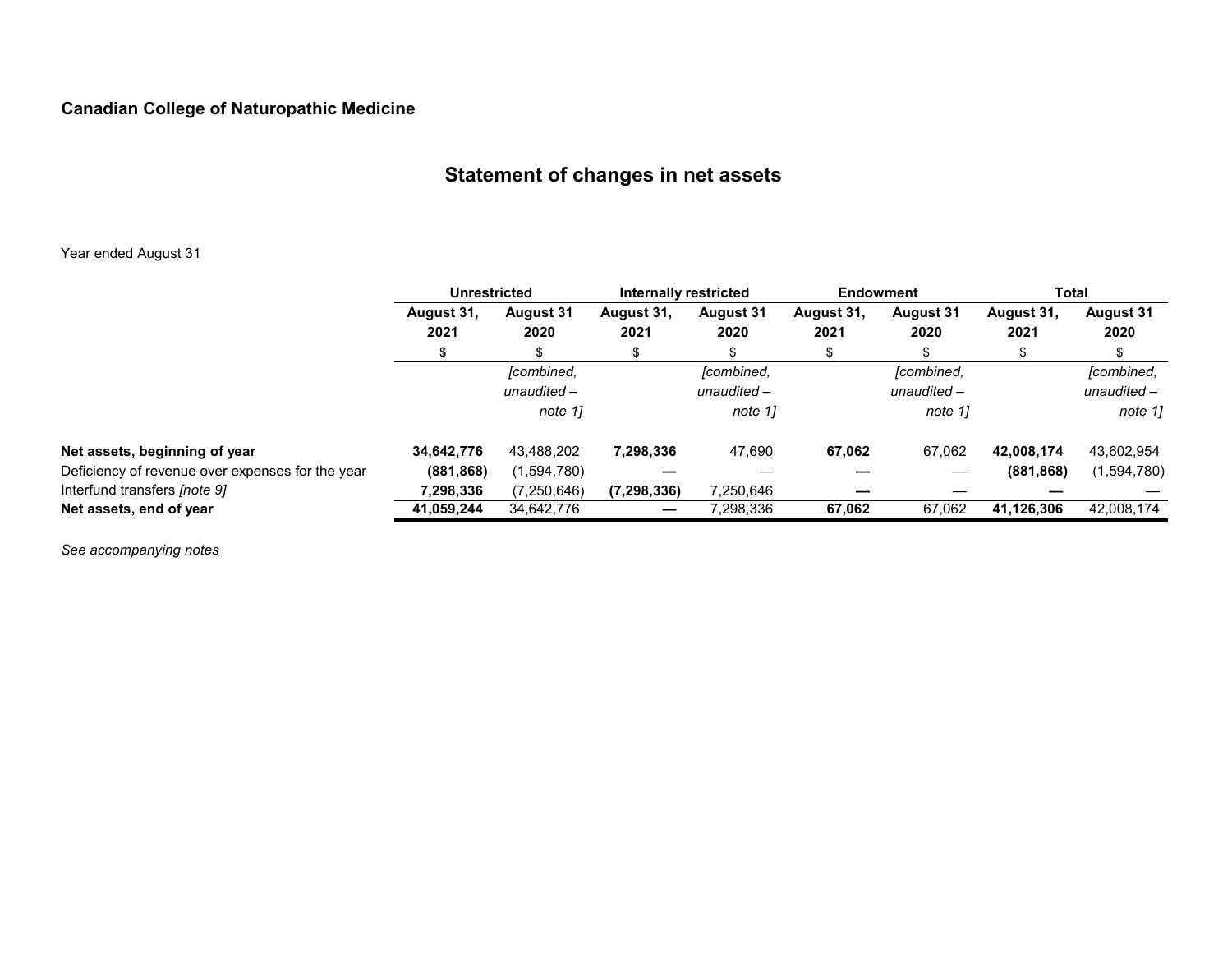# **Statement of changes in net assets**

### Year ended August 31

|                                                  | <b>Unrestricted</b> |                                        | Internally restricted |                                      | Endowment          |                                        | Total              |                                        |
|--------------------------------------------------|---------------------|----------------------------------------|-----------------------|--------------------------------------|--------------------|----------------------------------------|--------------------|----------------------------------------|
|                                                  | August 31,<br>2021  | <b>August 31</b><br>2020               | August 31,<br>2021    | <b>August 31</b><br>2020             | August 31,<br>2021 | <b>August 31</b><br>2020               | August 31,<br>2021 | <b>August 31</b><br>2020               |
|                                                  |                     | S                                      | S                     | S.                                   | \$                 | £.                                     |                    |                                        |
|                                                  |                     | [combined,<br>unaudited $-$<br>note 11 |                       | [combined,<br>unaudited -<br>note 11 |                    | [combined,<br>unaudited $-$<br>note 11 |                    | [combined,<br>unaudited $-$<br>note 1] |
| Net assets, beginning of year                    | 34,642,776          | 43,488,202                             | 7,298,336             | 47,690                               | 67,062             | 67,062                                 | 42.008.174         | 43,602,954                             |
| Deficiency of revenue over expenses for the year | (881, 868)          | (1,594,780)                            |                       |                                      |                    |                                        | (881, 868)         | (1,594,780)                            |
| Interfund transfers [note 9]                     | 7,298,336           | (7,250,646)                            | (7, 298, 336)         | 7,250,646                            |                    |                                        |                    |                                        |
| Net assets, end of year                          | 41,059,244          | 34,642,776                             |                       | 7,298,336                            | 67,062             | 67,062                                 | 41,126,306         | 42,008,174                             |

*See accompanying notes*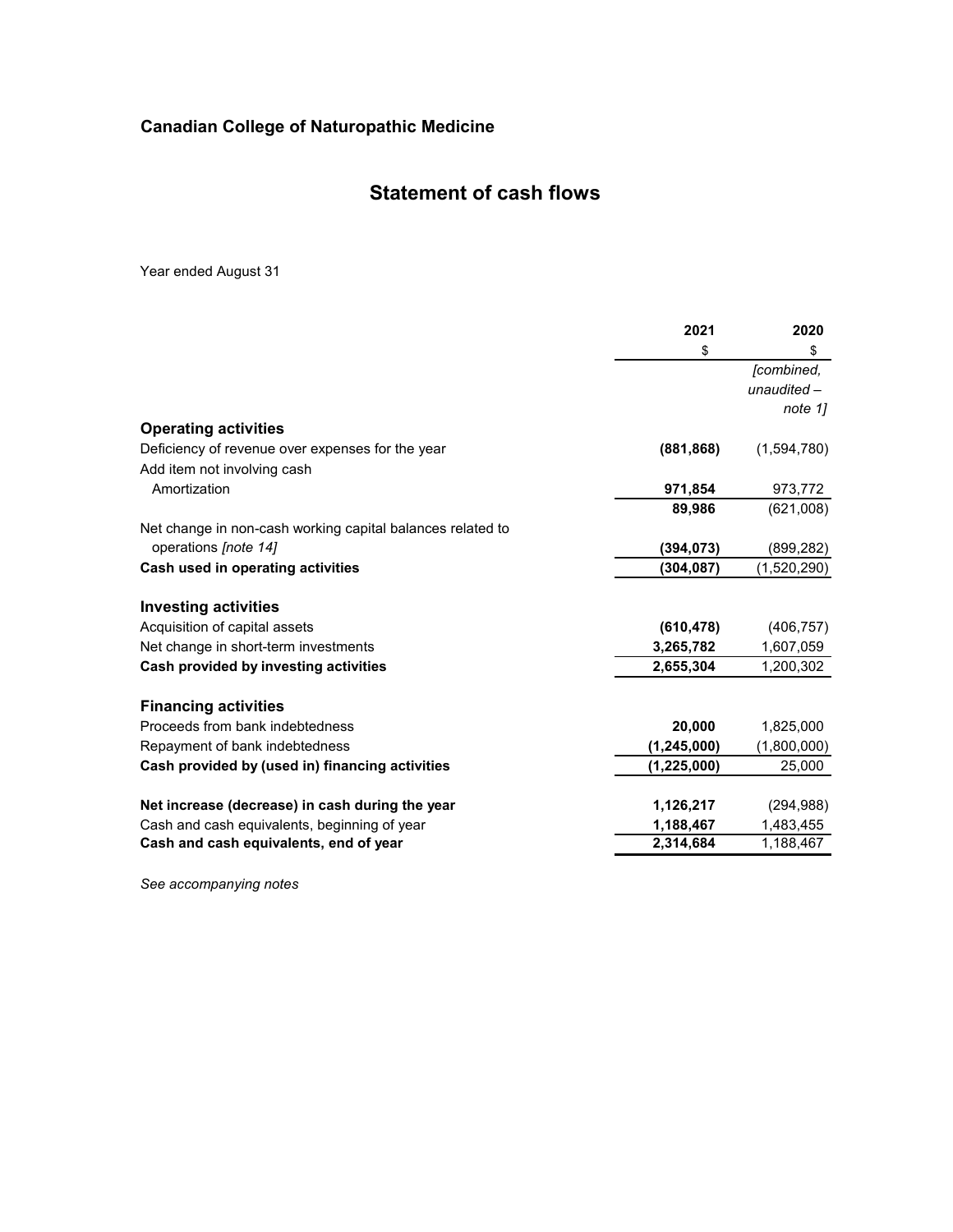### **Statement of cash flows**

Year ended August 31

|                                                            | 2021          | 2020        |
|------------------------------------------------------------|---------------|-------------|
|                                                            | \$            | \$          |
|                                                            |               | [combined,  |
|                                                            |               | unaudited-  |
|                                                            |               | note 11     |
| <b>Operating activities</b>                                |               |             |
| Deficiency of revenue over expenses for the year           | (881, 868)    | (1,594,780) |
| Add item not involving cash                                |               |             |
| Amortization                                               | 971,854       | 973,772     |
|                                                            | 89,986        | (621,008)   |
| Net change in non-cash working capital balances related to |               |             |
| operations [note 14]                                       | (394, 073)    | (899, 282)  |
| Cash used in operating activities                          | (304, 087)    | (1,520,290) |
| <b>Investing activities</b>                                |               |             |
| Acquisition of capital assets                              | (610, 478)    | (406, 757)  |
| Net change in short-term investments                       | 3,265,782     | 1,607,059   |
| Cash provided by investing activities                      | 2,655,304     | 1,200,302   |
| <b>Financing activities</b>                                |               |             |
| Proceeds from bank indebtedness                            | 20,000        | 1,825,000   |
| Repayment of bank indebtedness                             | (1, 245, 000) | (1,800,000) |
| Cash provided by (used in) financing activities            | (1,225,000)   | 25,000      |
| Net increase (decrease) in cash during the year            | 1,126,217     | (294, 988)  |
| Cash and cash equivalents, beginning of year               | 1,188,467     | 1,483,455   |
| Cash and cash equivalents, end of year                     | 2,314,684     | 1,188,467   |
|                                                            |               |             |

*See accompanying notes*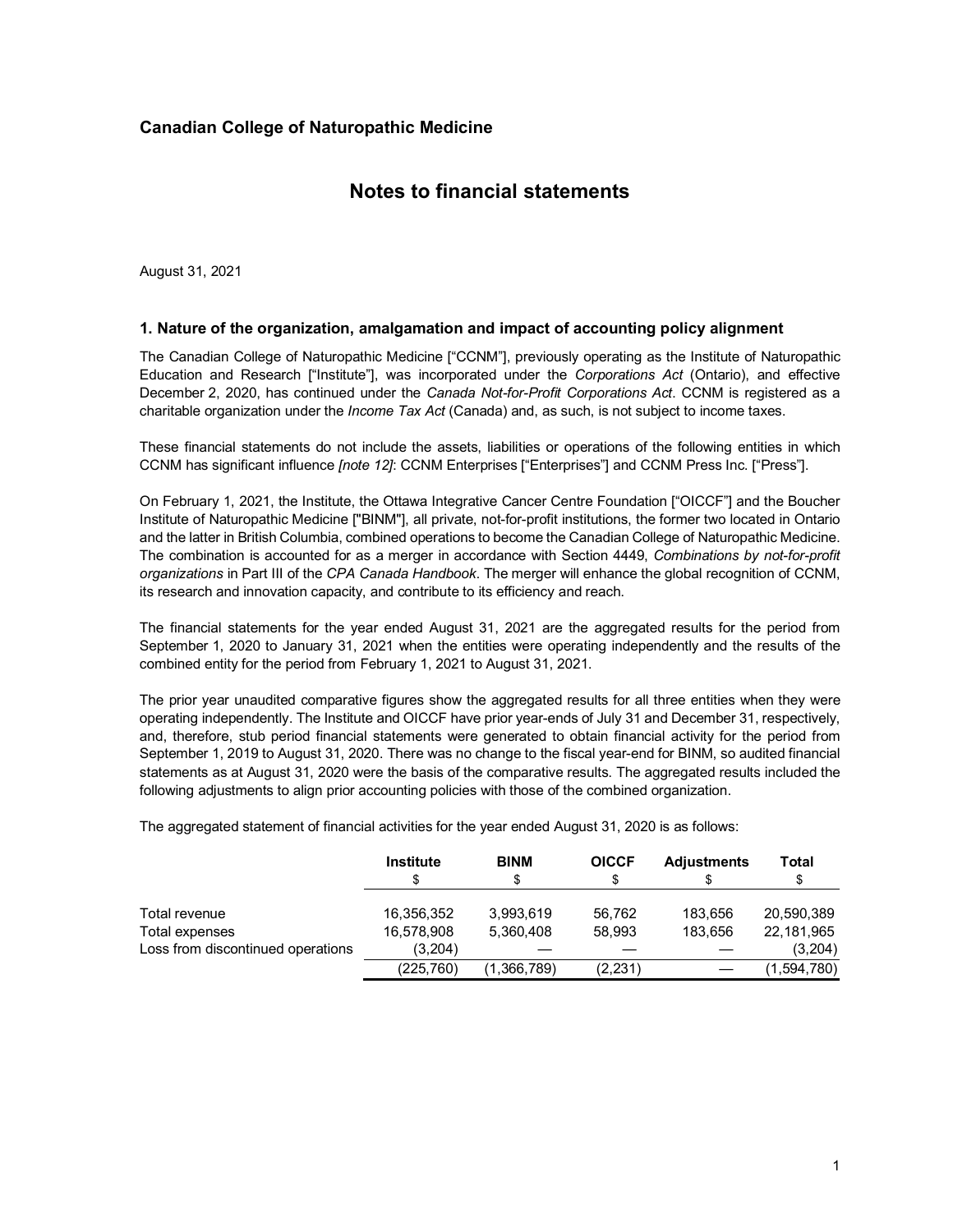### **Notes to financial statements**

August 31, 2021

#### **1. Nature of the organization, amalgamation and impact of accounting policy alignment**

The Canadian College of Naturopathic Medicine ["CCNM"], previously operating as the Institute of Naturopathic Education and Research ["Institute"], was incorporated under the *Corporations Act* (Ontario), and effective December 2, 2020, has continued under the *Canada Not-for-Profit Corporations Act*. CCNM is registered as a charitable organization under the *Income Tax Act* (Canada) and, as such, is not subject to income taxes.

These financial statements do not include the assets, liabilities or operations of the following entities in which CCNM has significant influence *[note 12]*: CCNM Enterprises ["Enterprises"] and CCNM Press Inc. ["Press"].

On February 1, 2021, the Institute, the Ottawa Integrative Cancer Centre Foundation ["OICCF"] and the Boucher Institute of Naturopathic Medicine ["BINM"], all private, not-for-profit institutions, the former two located in Ontario and the latter in British Columbia, combined operations to become the Canadian College of Naturopathic Medicine. The combination is accounted for as a merger in accordance with Section 4449, *Combinations by not-for-profit organizations* in Part III of the *CPA Canada Handbook*. The merger will enhance the global recognition of CCNM, its research and innovation capacity, and contribute to its efficiency and reach.

The financial statements for the year ended August 31, 2021 are the aggregated results for the period from September 1, 2020 to January 31, 2021 when the entities were operating independently and the results of the combined entity for the period from February 1, 2021 to August 31, 2021.

The prior year unaudited comparative figures show the aggregated results for all three entities when they were operating independently. The Institute and OICCF have prior year-ends of July 31 and December 31, respectively, and, therefore, stub period financial statements were generated to obtain financial activity for the period from September 1, 2019 to August 31, 2020. There was no change to the fiscal year-end for BINM, so audited financial statements as at August 31, 2020 were the basis of the comparative results. The aggregated results included the following adjustments to align prior accounting policies with those of the combined organization.

The aggregated statement of financial activities for the year ended August 31, 2020 is as follows:

|                                   | <b>Institute</b><br>\$ | <b>BINM</b> | <b>OICCF</b> | <b>Adjustments</b> | Total<br>S  |
|-----------------------------------|------------------------|-------------|--------------|--------------------|-------------|
| Total revenue                     | 16.356.352             | 3.993.619   | 56.762       | 183.656            | 20.590.389  |
| Total expenses                    | 16,578,908             | 5.360.408   | 58.993       | 183,656            | 22,181,965  |
| Loss from discontinued operations | (3.204)                |             |              |                    | (3,204)     |
|                                   | (225,760)              | (1,366,789) | (2,231)      |                    | (1,594,780) |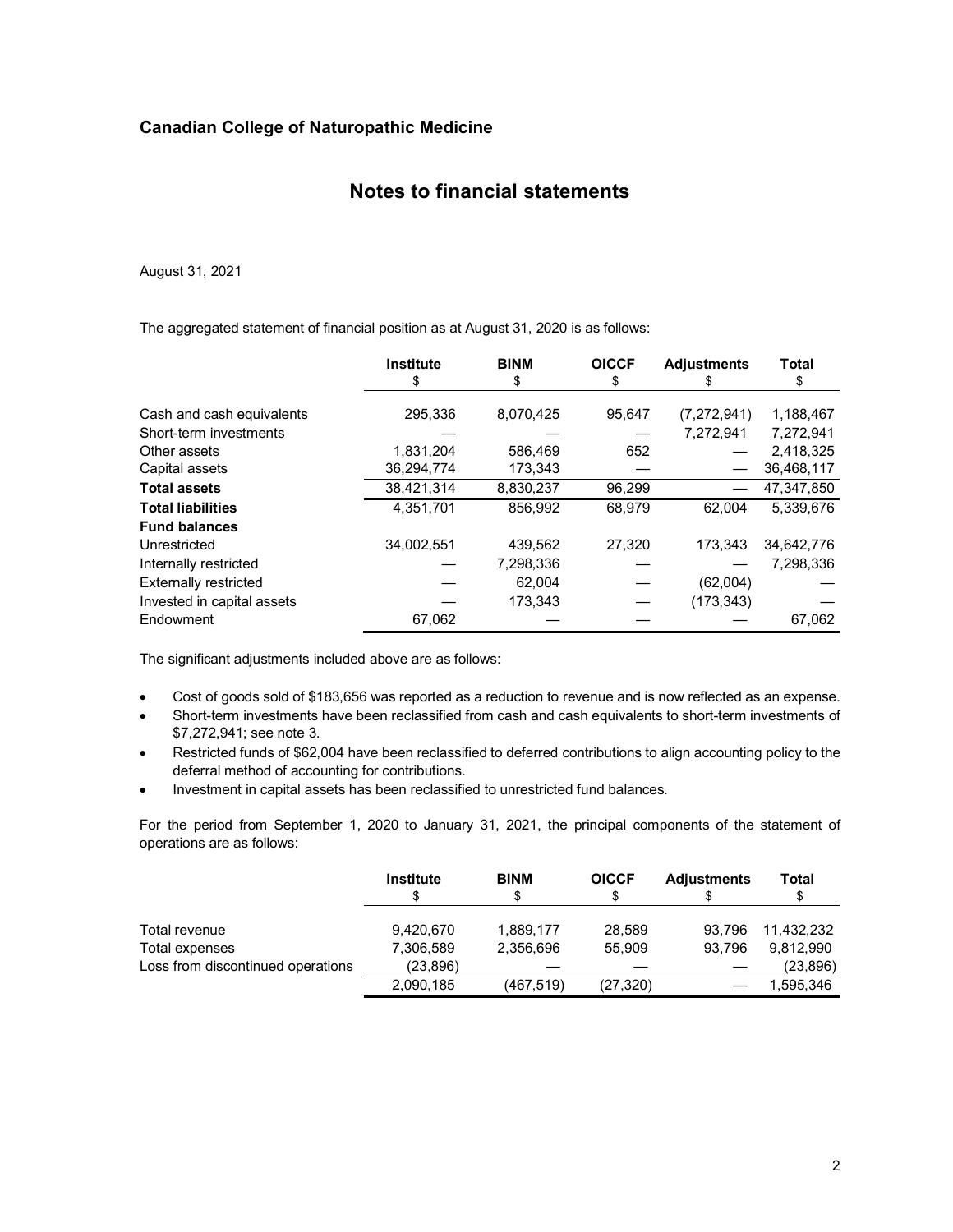### **Notes to financial statements**

August 31, 2021

The aggregated statement of financial position as at August 31, 2020 is as follows:

|                              | <b>Institute</b><br>\$ | <b>BINM</b><br>S | <b>OICCF</b><br>£. | <b>Adjustments</b> | <b>Total</b><br>S |
|------------------------------|------------------------|------------------|--------------------|--------------------|-------------------|
|                              |                        |                  |                    |                    |                   |
| Cash and cash equivalents    | 295,336                | 8,070,425        | 95,647             | (7,272,941)        | 1,188,467         |
| Short-term investments       |                        |                  |                    | 7.272.941          | 7.272.941         |
| Other assets                 | 1,831,204              | 586.469          | 652                |                    | 2,418,325         |
| Capital assets               | 36,294,774             | 173,343          |                    |                    | 36,468,117        |
| <b>Total assets</b>          | 38,421,314             | 8,830,237        | 96,299             |                    | 47,347,850        |
| <b>Total liabilities</b>     | 4.351.701              | 856.992          | 68,979             | 62.004             | 5.339.676         |
| <b>Fund balances</b>         |                        |                  |                    |                    |                   |
| Unrestricted                 | 34.002.551             | 439,562          | 27.320             | 173.343            | 34,642,776        |
| Internally restricted        |                        | 7,298,336        |                    |                    | 7,298,336         |
| <b>Externally restricted</b> |                        | 62,004           |                    | (62,004)           |                   |
| Invested in capital assets   |                        | 173.343          |                    | (173, 343)         |                   |
| Endowment                    | 67,062                 |                  |                    |                    | 67,062            |

The significant adjustments included above are as follows:

- Cost of goods sold of \$183,656 was reported as a reduction to revenue and is now reflected as an expense.
- Short-term investments have been reclassified from cash and cash equivalents to short-term investments of \$7,272,941; see note 3.
- Restricted funds of \$62,004 have been reclassified to deferred contributions to align accounting policy to the deferral method of accounting for contributions.
- Investment in capital assets has been reclassified to unrestricted fund balances.

For the period from September 1, 2020 to January 31, 2021, the principal components of the statement of operations are as follows:

|                                   | <b>Institute</b> | <b>BINM</b><br>S | <b>OICCF</b><br>S | <b>Adjustments</b> | Total<br>S |
|-----------------------------------|------------------|------------------|-------------------|--------------------|------------|
| Total revenue                     | 9,420,670        | 1,889,177        | 28.589            | 93.796             | 11.432.232 |
| Total expenses                    | 7,306,589        | 2,356,696        | 55.909            | 93.796             | 9.812.990  |
| Loss from discontinued operations | (23,896)         |                  |                   |                    | (23, 896)  |
|                                   | 2,090,185        | (467, 519)       | (27, 320)         |                    | 1.595.346  |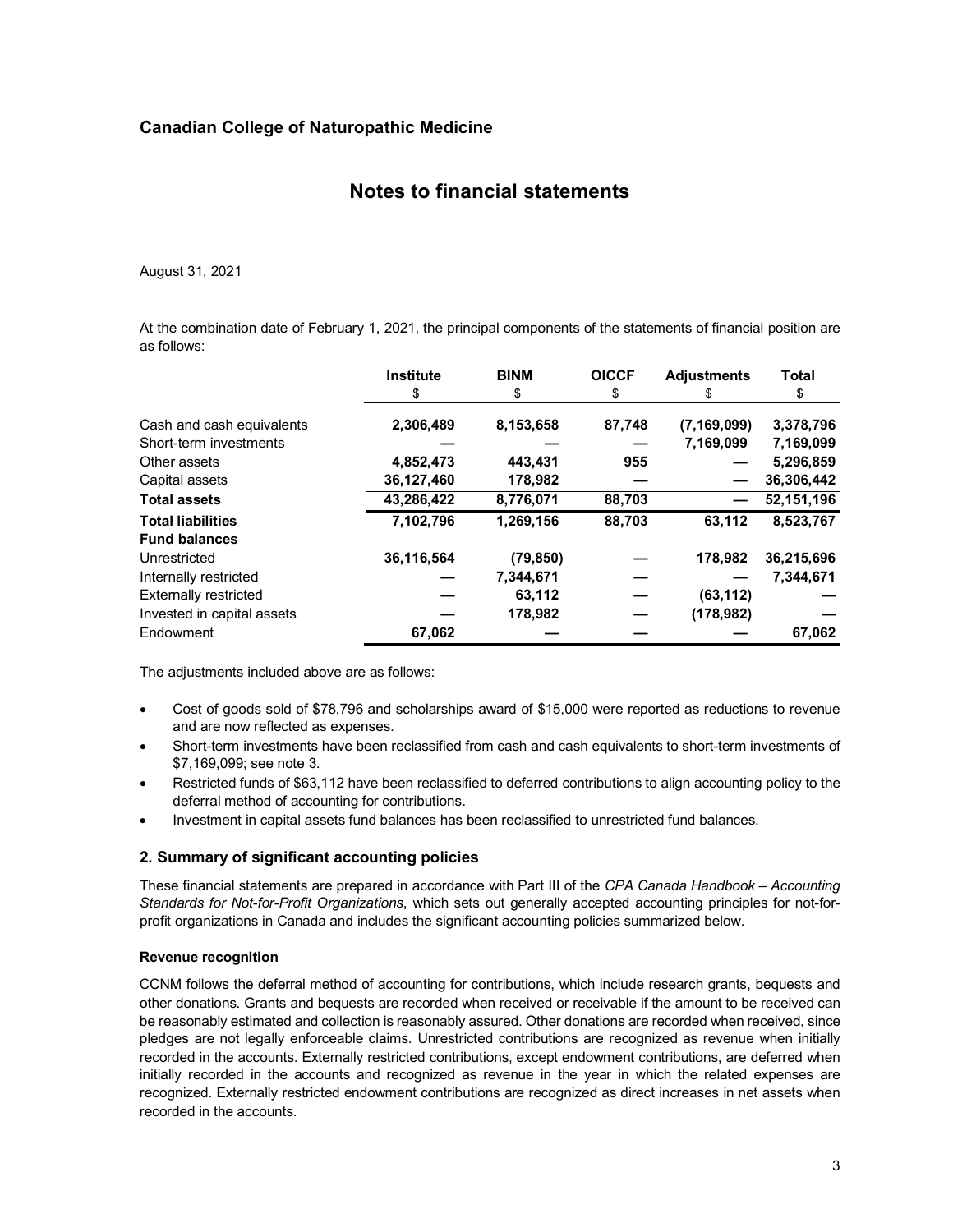### **Notes to financial statements**

August 31, 2021

At the combination date of February 1, 2021, the principal components of the statements of financial position are as follows:

|                              | <b>Institute</b><br>\$ | <b>BINM</b><br>\$ | <b>OICCF</b><br>\$ | <b>Adjustments</b><br>S | Total<br>\$  |
|------------------------------|------------------------|-------------------|--------------------|-------------------------|--------------|
| Cash and cash equivalents    | 2,306,489              | 8,153,658         | 87,748             | (7, 169, 099)           | 3,378,796    |
| Short-term investments       |                        |                   |                    | 7,169,099               | 7,169,099    |
| Other assets                 | 4,852,473              | 443,431           | 955                |                         | 5,296,859    |
| Capital assets               | 36,127,460             | 178,982           |                    |                         | 36,306,442   |
| <b>Total assets</b>          | 43,286,422             | 8,776,071         | 88,703             |                         | 52, 151, 196 |
| <b>Total liabilities</b>     | 7,102,796              | 1,269,156         | 88,703             | 63,112                  | 8,523,767    |
| <b>Fund balances</b>         |                        |                   |                    |                         |              |
| Unrestricted                 | 36,116,564             | (79, 850)         |                    | 178,982                 | 36,215,696   |
| Internally restricted        |                        | 7,344,671         |                    |                         | 7.344.671    |
| <b>Externally restricted</b> |                        | 63,112            |                    | (63, 112)               |              |
| Invested in capital assets   |                        | 178,982           |                    | (178, 982)              |              |
| Endowment                    | 67,062                 |                   |                    |                         | 67,062       |

The adjustments included above are as follows:

- Cost of goods sold of \$78,796 and scholarships award of \$15,000 were reported as reductions to revenue and are now reflected as expenses.
- Short-term investments have been reclassified from cash and cash equivalents to short-term investments of \$7,169,099; see note 3.
- Restricted funds of \$63,112 have been reclassified to deferred contributions to align accounting policy to the deferral method of accounting for contributions.
- Investment in capital assets fund balances has been reclassified to unrestricted fund balances.

#### **2. Summary of significant accounting policies**

These financial statements are prepared in accordance with Part III of the *CPA Canada Handbook – Accounting Standards for Not-for-Profit Organizations*, which sets out generally accepted accounting principles for not-forprofit organizations in Canada and includes the significant accounting policies summarized below.

#### **Revenue recognition**

CCNM follows the deferral method of accounting for contributions, which include research grants, bequests and other donations. Grants and bequests are recorded when received or receivable if the amount to be received can be reasonably estimated and collection is reasonably assured. Other donations are recorded when received, since pledges are not legally enforceable claims. Unrestricted contributions are recognized as revenue when initially recorded in the accounts. Externally restricted contributions, except endowment contributions, are deferred when initially recorded in the accounts and recognized as revenue in the year in which the related expenses are recognized. Externally restricted endowment contributions are recognized as direct increases in net assets when recorded in the accounts.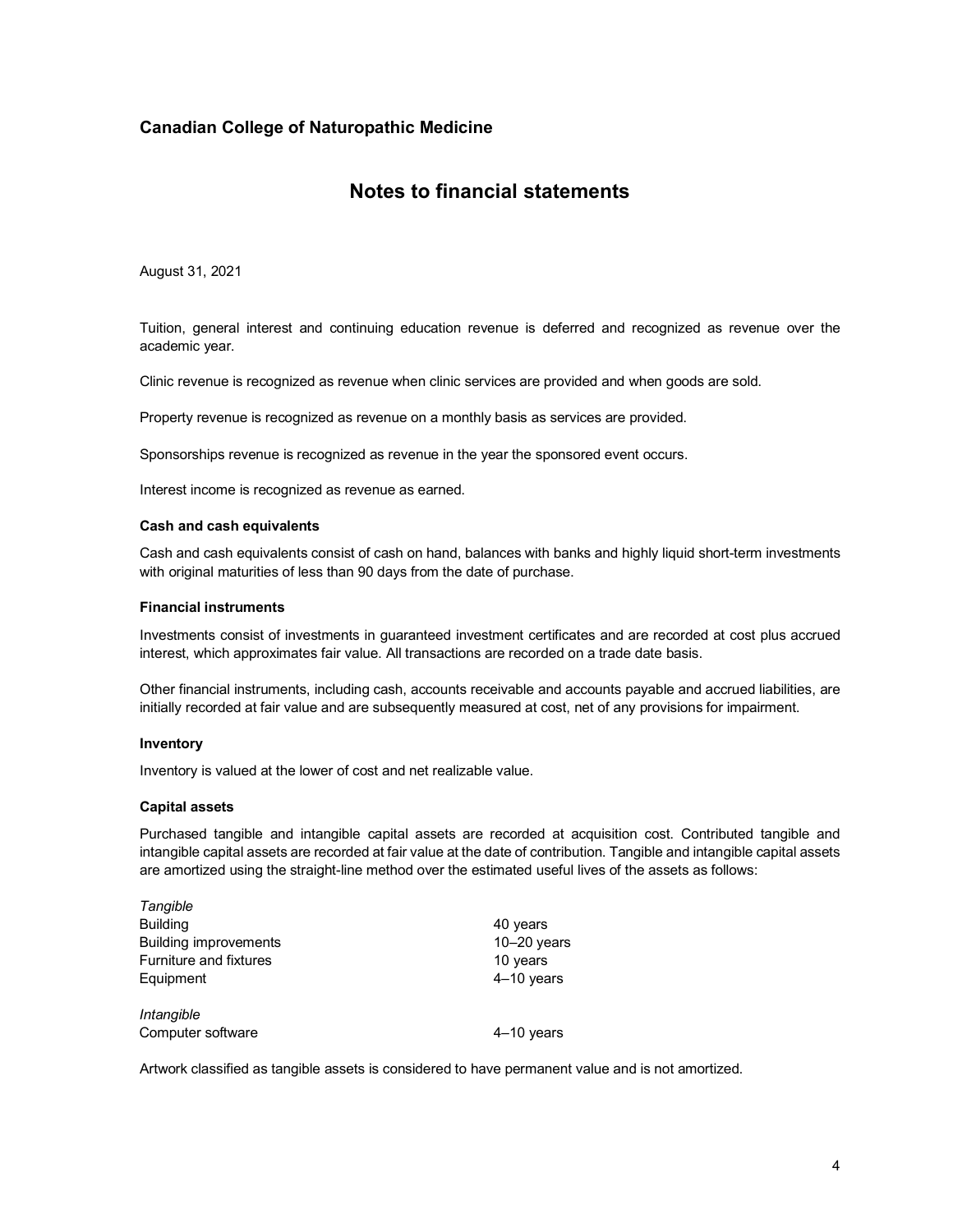### **Notes to financial statements**

August 31, 2021

Tuition, general interest and continuing education revenue is deferred and recognized as revenue over the academic year.

Clinic revenue is recognized as revenue when clinic services are provided and when goods are sold.

Property revenue is recognized as revenue on a monthly basis as services are provided.

Sponsorships revenue is recognized as revenue in the year the sponsored event occurs.

Interest income is recognized as revenue as earned.

#### **Cash and cash equivalents**

Cash and cash equivalents consist of cash on hand, balances with banks and highly liquid short-term investments with original maturities of less than 90 days from the date of purchase.

#### **Financial instruments**

Investments consist of investments in guaranteed investment certificates and are recorded at cost plus accrued interest, which approximates fair value. All transactions are recorded on a trade date basis.

Other financial instruments, including cash, accounts receivable and accounts payable and accrued liabilities, are initially recorded at fair value and are subsequently measured at cost, net of any provisions for impairment.

#### **Inventory**

*Tangible*

Inventory is valued at the lower of cost and net realizable value.

#### **Capital assets**

Purchased tangible and intangible capital assets are recorded at acquisition cost. Contributed tangible and intangible capital assets are recorded at fair value at the date of contribution. Tangible and intangible capital assets are amortized using the straight-line method over the estimated useful lives of the assets as follows:

| <i>Tanqible</i>               |               |
|-------------------------------|---------------|
| <b>Building</b>               | 40 years      |
| <b>Building improvements</b>  | $10-20$ years |
| <b>Furniture and fixtures</b> | 10 years      |
| Equipment                     | $4-10$ years  |
| Intangible                    |               |
| Computer software             | $4-10$ years  |

Artwork classified as tangible assets is considered to have permanent value and is not amortized.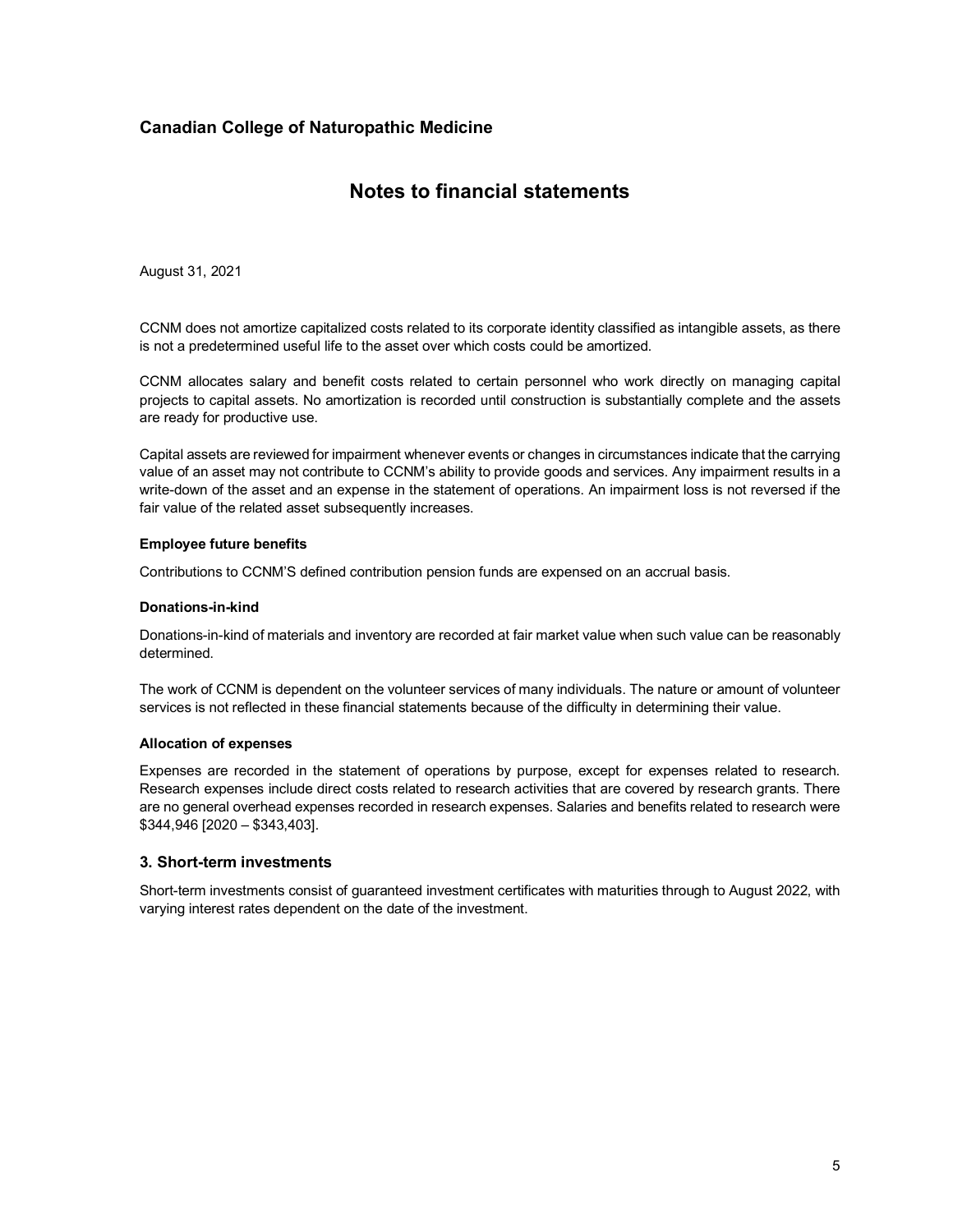### **Notes to financial statements**

August 31, 2021

CCNM does not amortize capitalized costs related to its corporate identity classified as intangible assets, as there is not a predetermined useful life to the asset over which costs could be amortized.

CCNM allocates salary and benefit costs related to certain personnel who work directly on managing capital projects to capital assets. No amortization is recorded until construction is substantially complete and the assets are ready for productive use.

Capital assets are reviewed for impairment whenever events or changes in circumstances indicate that the carrying value of an asset may not contribute to CCNM's ability to provide goods and services. Any impairment results in a write-down of the asset and an expense in the statement of operations. An impairment loss is not reversed if the fair value of the related asset subsequently increases.

#### **Employee future benefits**

Contributions to CCNM'S defined contribution pension funds are expensed on an accrual basis.

#### **Donations-in-kind**

Donations-in-kind of materials and inventory are recorded at fair market value when such value can be reasonably determined.

The work of CCNM is dependent on the volunteer services of many individuals. The nature or amount of volunteer services is not reflected in these financial statements because of the difficulty in determining their value.

#### **Allocation of expenses**

Expenses are recorded in the statement of operations by purpose, except for expenses related to research. Research expenses include direct costs related to research activities that are covered by research grants. There are no general overhead expenses recorded in research expenses. Salaries and benefits related to research were \$344,946 [2020 – \$343,403].

#### **3. Short-term investments**

Short-term investments consist of guaranteed investment certificates with maturities through to August 2022, with varying interest rates dependent on the date of the investment.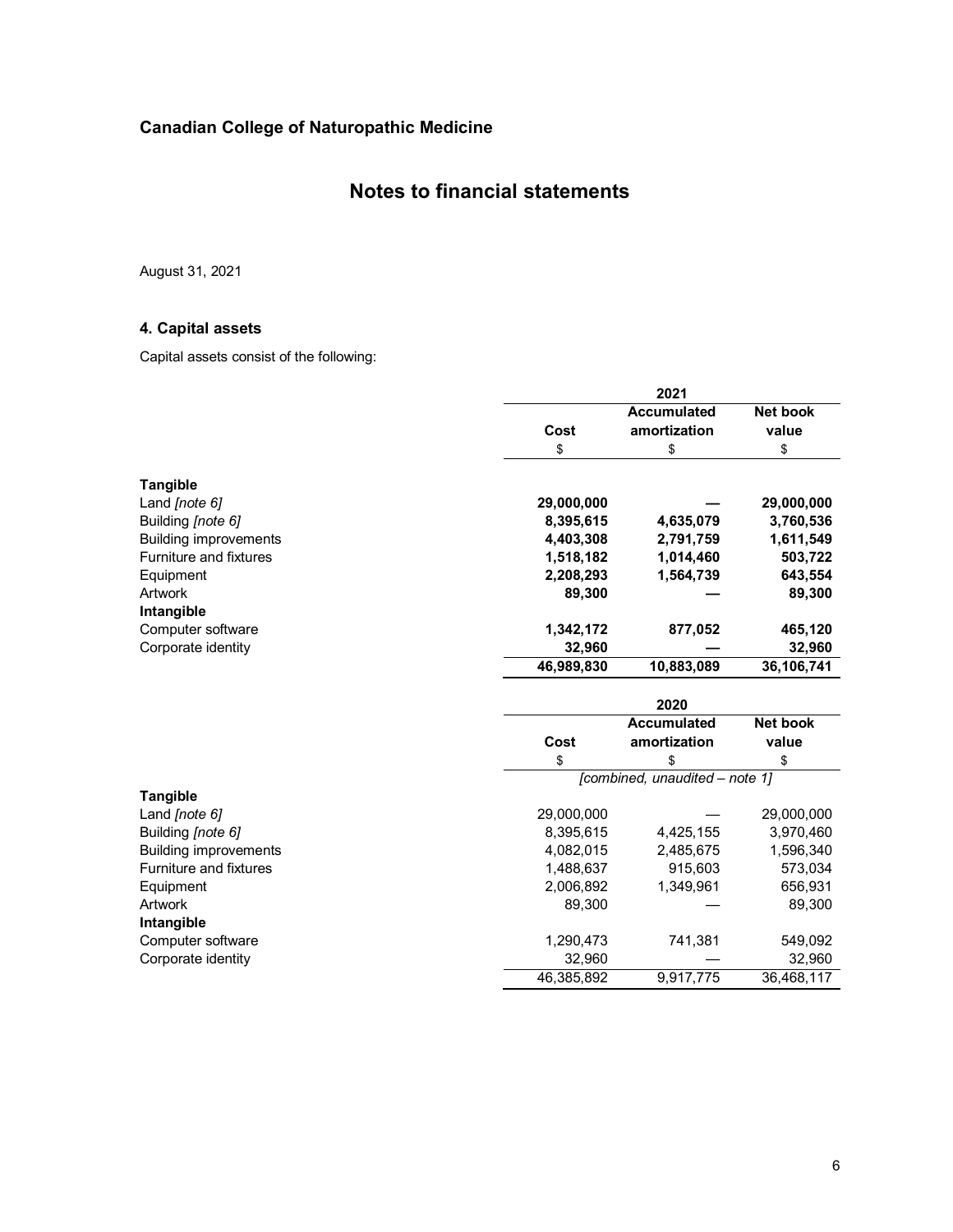### **Notes to financial statements**

August 31, 2021

### **4. Capital assets**

Capital assets consist of the following:

|                               |            | 2021                           |                 |  |  |  |
|-------------------------------|------------|--------------------------------|-----------------|--|--|--|
|                               |            | <b>Accumulated</b>             | Net book        |  |  |  |
|                               | Cost       | amortization                   | value           |  |  |  |
|                               | \$         | \$                             | \$              |  |  |  |
| <b>Tangible</b>               |            |                                |                 |  |  |  |
| Land [note 6]                 | 29,000,000 |                                | 29,000,000      |  |  |  |
| Building [note 6]             | 8,395,615  | 4,635,079                      | 3,760,536       |  |  |  |
| <b>Building improvements</b>  | 4,403,308  | 2,791,759                      | 1,611,549       |  |  |  |
| <b>Furniture and fixtures</b> | 1,518,182  | 1,014,460                      | 503,722         |  |  |  |
| Equipment                     | 2,208,293  | 1,564,739                      | 643,554         |  |  |  |
| <b>Artwork</b>                | 89,300     |                                | 89,300          |  |  |  |
| Intangible                    |            |                                |                 |  |  |  |
| Computer software             | 1,342,172  | 877,052                        | 465,120         |  |  |  |
| Corporate identity            | 32,960     |                                | 32,960          |  |  |  |
|                               | 46,989,830 | 10,883,089                     | 36,106,741      |  |  |  |
|                               |            | 2020                           |                 |  |  |  |
|                               |            | <b>Accumulated</b>             | <b>Net book</b> |  |  |  |
|                               | Cost       | amortization                   | value           |  |  |  |
|                               | \$         | \$                             | \$              |  |  |  |
|                               |            | [combined, unaudited - note 1] |                 |  |  |  |
| <b>Tangible</b>               |            |                                |                 |  |  |  |
| Land [note 6]                 | 29,000,000 |                                | 29,000,000      |  |  |  |
| Building [note 6]             | 8,395,615  | 4,425,155                      | 3,970,460       |  |  |  |
| <b>Building improvements</b>  | 4,082,015  | 2,485,675                      | 1,596,340       |  |  |  |
| <b>Furniture and fixtures</b> | 1,488,637  | 915,603                        | 573,034         |  |  |  |
| Equipment                     | 2,006,892  | 1,349,961                      | 656,931         |  |  |  |
| <b>Artwork</b>                | 89,300     |                                | 89,300          |  |  |  |
| Intangible                    |            |                                |                 |  |  |  |
| Computer software             | 1,290,473  | 741,381                        | 549,092         |  |  |  |
| Corporate identity            | 32,960     |                                | 32,960          |  |  |  |
|                               | 46,385,892 | 9,917,775                      | 36,468,117      |  |  |  |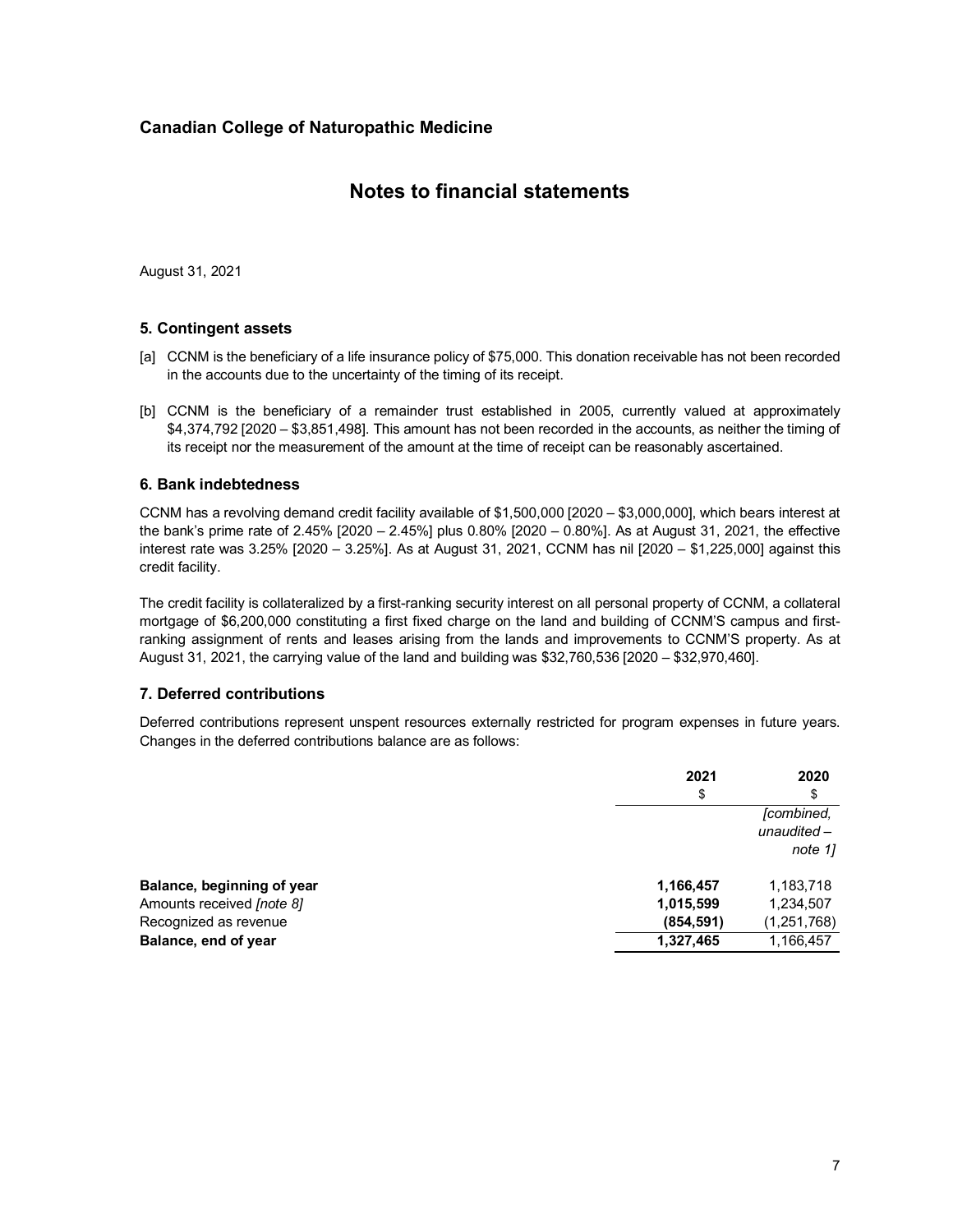### **Notes to financial statements**

August 31, 2021

### **5. Contingent assets**

- [a] CCNM is the beneficiary of a life insurance policy of \$75,000. This donation receivable has not been recorded in the accounts due to the uncertainty of the timing of its receipt.
- [b] CCNM is the beneficiary of a remainder trust established in 2005, currently valued at approximately \$4,374,792 [2020 – \$3,851,498]. This amount has not been recorded in the accounts, as neither the timing of its receipt nor the measurement of the amount at the time of receipt can be reasonably ascertained.

### **6. Bank indebtedness**

CCNM has a revolving demand credit facility available of \$1,500,000 [2020 – \$3,000,000], which bears interest at the bank's prime rate of 2.45% [2020 – 2.45%] plus 0.80% [2020 – 0.80%]. As at August 31, 2021, the effective interest rate was 3.25% [2020 – 3.25%]. As at August 31, 2021, CCNM has nil [2020 – \$1,225,000] against this credit facility.

The credit facility is collateralized by a first-ranking security interest on all personal property of CCNM, a collateral mortgage of \$6,200,000 constituting a first fixed charge on the land and building of CCNM'S campus and firstranking assignment of rents and leases arising from the lands and improvements to CCNM'S property. As at August 31, 2021, the carrying value of the land and building was \$32,760,536 [2020 – \$32,970,460].

### **7. Deferred contributions**

Deferred contributions represent unspent resources externally restricted for program expenses in future years. Changes in the deferred contributions balance are as follows:

|                            | 2021       | 2020                                   |
|----------------------------|------------|----------------------------------------|
|                            | \$         | \$                                     |
|                            |            | [combined,<br>unaudited $-$<br>note 1] |
| Balance, beginning of year | 1,166,457  | 1,183,718                              |
| Amounts received [note 8]  | 1,015,599  | 1,234,507                              |
| Recognized as revenue      | (854, 591) | (1, 251, 768)                          |
| Balance, end of year       | 1,327,465  | 1,166,457                              |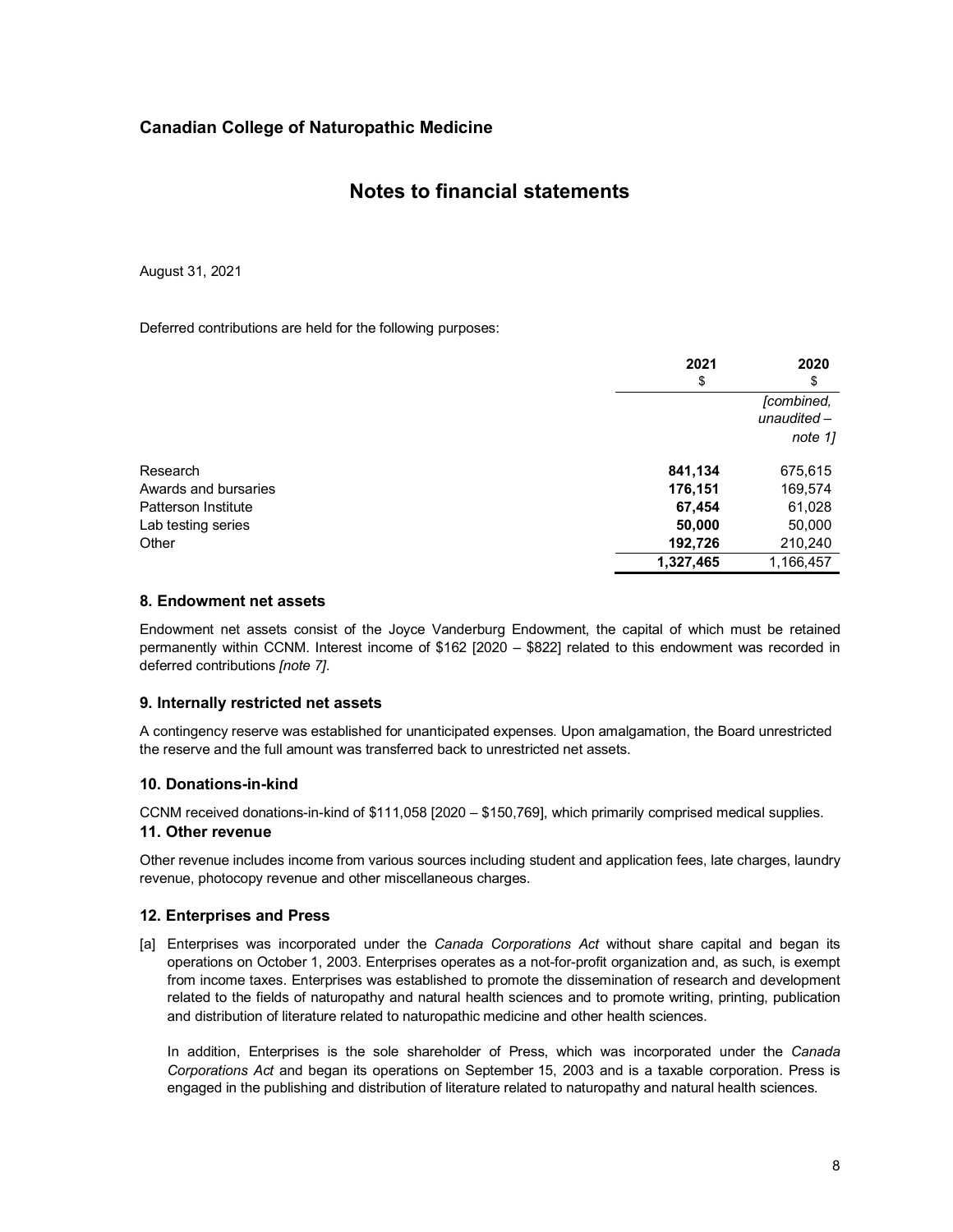### **Notes to financial statements**

August 31, 2021

Deferred contributions are held for the following purposes:

|                            | 2021      | 2020                        |
|----------------------------|-----------|-----------------------------|
|                            | \$        | \$                          |
|                            |           | [combined,<br>unaudited $-$ |
|                            |           | note 1]                     |
| Research                   | 841,134   | 675,615                     |
| Awards and bursaries       | 176,151   | 169,574                     |
| <b>Patterson Institute</b> | 67,454    | 61,028                      |
| Lab testing series         | 50,000    | 50,000                      |
| Other                      | 192,726   | 210,240                     |
|                            | 1,327,465 | 1,166,457                   |

### **8. Endowment net assets**

Endowment net assets consist of the Joyce Vanderburg Endowment, the capital of which must be retained permanently within CCNM. Interest income of \$162 [2020 – \$822] related to this endowment was recorded in deferred contributions *[note 7]*.

### **9. Internally restricted net assets**

A contingency reserve was established for unanticipated expenses. Upon amalgamation, the Board unrestricted the reserve and the full amount was transferred back to unrestricted net assets.

### **10. Donations-in-kind**

CCNM received donations-in-kind of \$111,058 [2020 – \$150,769], which primarily comprised medical supplies.

### **11. Other revenue**

Other revenue includes income from various sources including student and application fees, late charges, laundry revenue, photocopy revenue and other miscellaneous charges.

### **12. Enterprises and Press**

[a] Enterprises was incorporated under the *Canada Corporations Act* without share capital and began its operations on October 1, 2003. Enterprises operates as a not-for-profit organization and, as such, is exempt from income taxes. Enterprises was established to promote the dissemination of research and development related to the fields of naturopathy and natural health sciences and to promote writing, printing, publication and distribution of literature related to naturopathic medicine and other health sciences.

In addition, Enterprises is the sole shareholder of Press, which was incorporated under the *Canada Corporations Act* and began its operations on September 15, 2003 and is a taxable corporation. Press is engaged in the publishing and distribution of literature related to naturopathy and natural health sciences.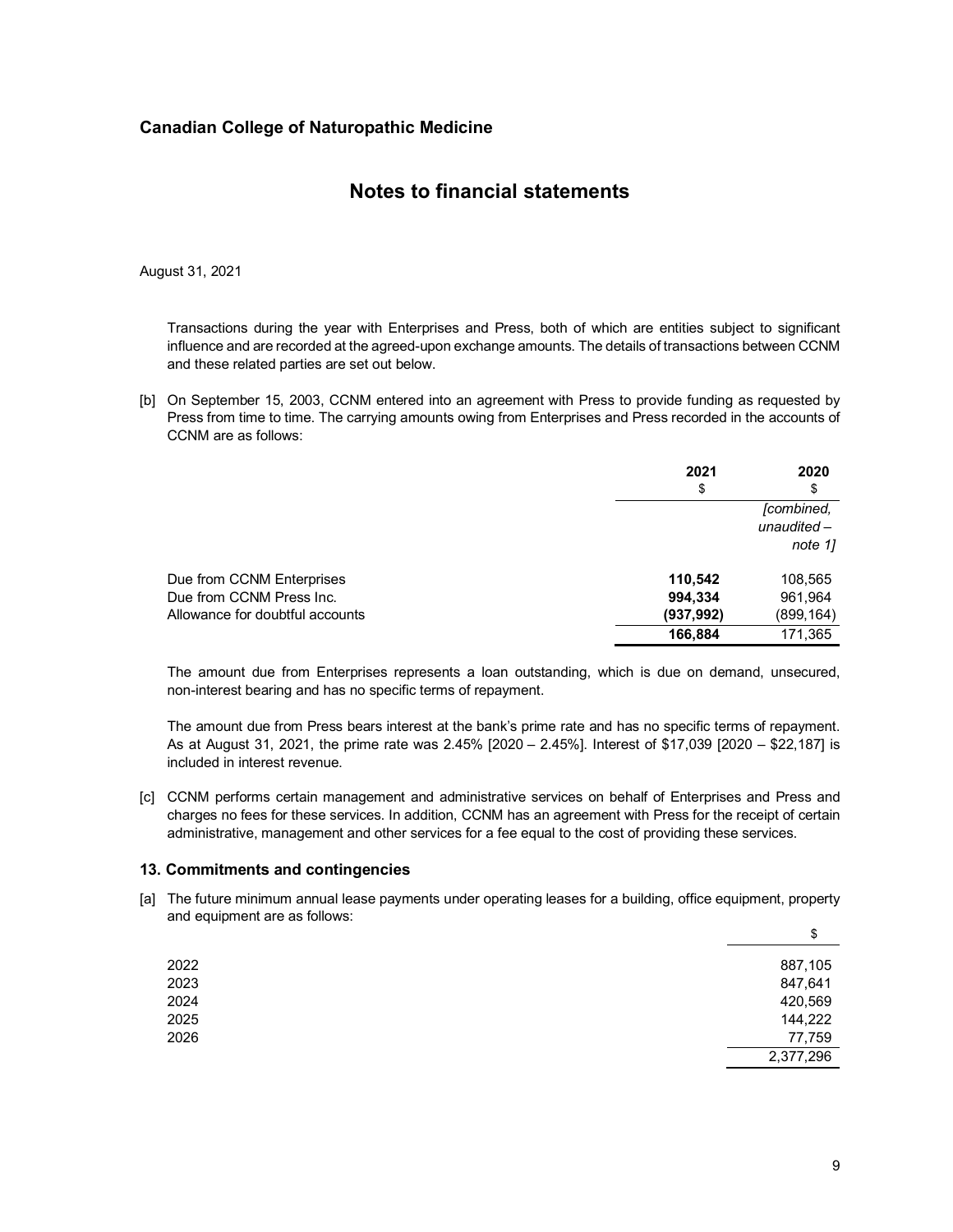### **Notes to financial statements**

August 31, 2021

Transactions during the year with Enterprises and Press, both of which are entities subject to significant influence and are recorded at the agreed-upon exchange amounts. The details of transactions between CCNM and these related parties are set out below.

[b] On September 15, 2003, CCNM entered into an agreement with Press to provide funding as requested by Press from time to time. The carrying amounts owing from Enterprises and Press recorded in the accounts of CCNM are as follows:

|                                 | 2021<br>\$ | 2020<br>\$                             |
|---------------------------------|------------|----------------------------------------|
|                                 |            | [combined,<br>unaudited $-$<br>note 1] |
| Due from CCNM Enterprises       | 110,542    | 108,565                                |
| Due from CCNM Press Inc.        | 994,334    | 961,964                                |
| Allowance for doubtful accounts | (937, 992) | (899, 164)                             |
|                                 | 166,884    | 171,365                                |

The amount due from Enterprises represents a loan outstanding, which is due on demand, unsecured, non-interest bearing and has no specific terms of repayment.

The amount due from Press bears interest at the bank's prime rate and has no specific terms of repayment. As at August 31, 2021, the prime rate was 2.45% [2020 – 2.45%]. Interest of \$17,039 [2020 – \$22,187] is included in interest revenue.

[c] CCNM performs certain management and administrative services on behalf of Enterprises and Press and charges no fees for these services. In addition, CCNM has an agreement with Press for the receipt of certain administrative, management and other services for a fee equal to the cost of providing these services.

#### **13. Commitments and contingencies**

[a] The future minimum annual lease payments under operating leases for a building, office equipment, property and equipment are as follows:

|      | \$        |
|------|-----------|
| 2022 | 887,105   |
| 2023 | 847,641   |
| 2024 | 420,569   |
| 2025 | 144,222   |
| 2026 | 77,759    |
|      | 2,377,296 |
|      |           |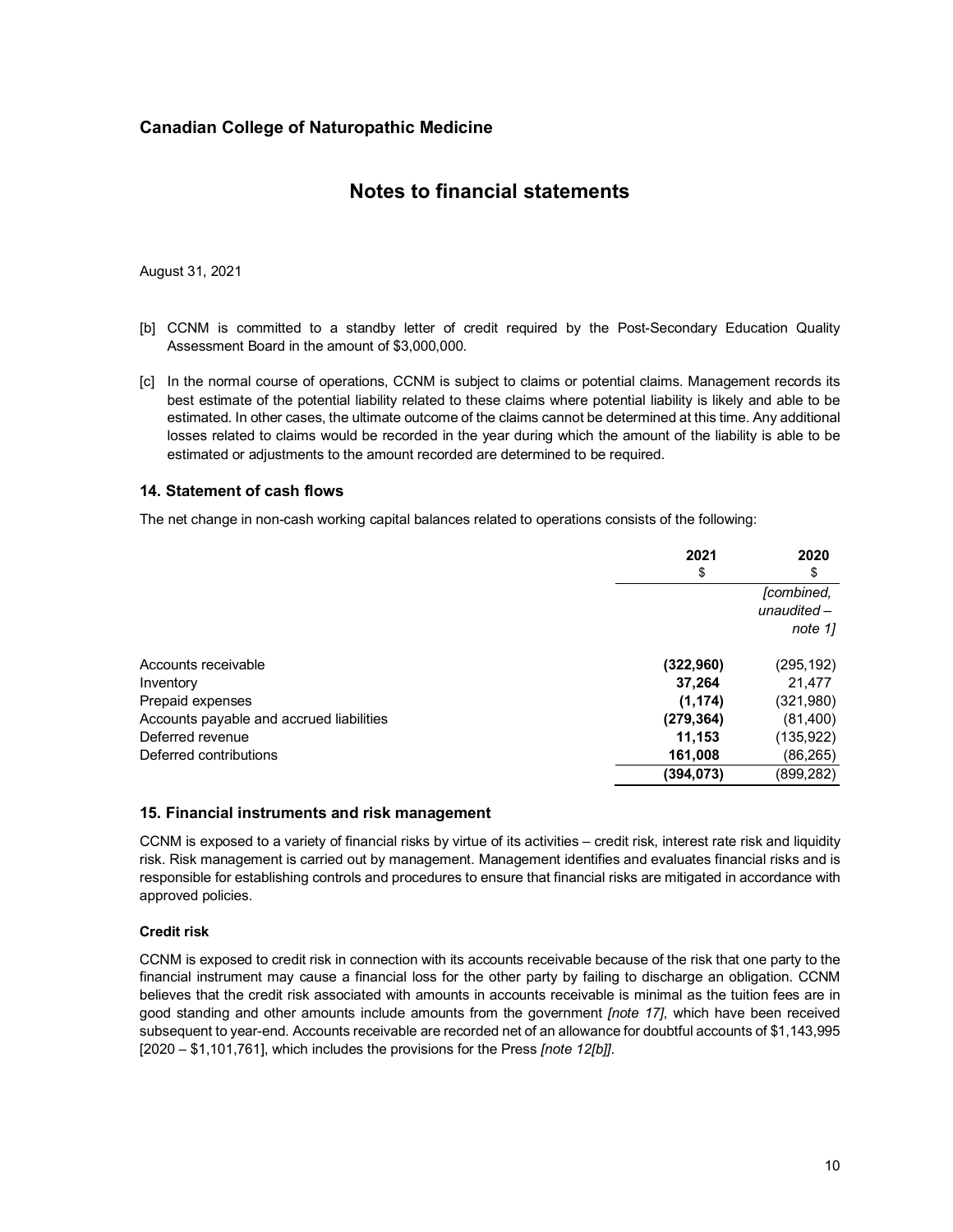### **Notes to financial statements**

August 31, 2021

- [b] CCNM is committed to a standby letter of credit required by the Post-Secondary Education Quality Assessment Board in the amount of \$3,000,000.
- [c] In the normal course of operations, CCNM is subject to claims or potential claims. Management records its best estimate of the potential liability related to these claims where potential liability is likely and able to be estimated. In other cases, the ultimate outcome of the claims cannot be determined at this time. Any additional losses related to claims would be recorded in the year during which the amount of the liability is able to be estimated or adjustments to the amount recorded are determined to be required.

#### **14. Statement of cash flows**

The net change in non-cash working capital balances related to operations consists of the following:

|                                          | 2021       | 2020                                   |
|------------------------------------------|------------|----------------------------------------|
|                                          | \$         | \$                                     |
|                                          |            | [combined,<br>unaudited $-$<br>note 11 |
| Accounts receivable                      | (322, 960) | (295,192)                              |
| Inventory                                | 37,264     | 21,477                                 |
| Prepaid expenses                         | (1, 174)   | (321,980)                              |
| Accounts payable and accrued liabilities | (279, 364) | (81,400)                               |
| Deferred revenue                         | 11,153     | (135,922)                              |
| Deferred contributions                   | 161,008    | (86,265)                               |
|                                          | (394, 073) | (899,282)                              |

### **15. Financial instruments and risk management**

CCNM is exposed to a variety of financial risks by virtue of its activities – credit risk, interest rate risk and liquidity risk. Risk management is carried out by management. Management identifies and evaluates financial risks and is responsible for establishing controls and procedures to ensure that financial risks are mitigated in accordance with approved policies.

#### **Credit risk**

CCNM is exposed to credit risk in connection with its accounts receivable because of the risk that one party to the financial instrument may cause a financial loss for the other party by failing to discharge an obligation. CCNM believes that the credit risk associated with amounts in accounts receivable is minimal as the tuition fees are in good standing and other amounts include amounts from the government *[note 17]*, which have been received subsequent to year-end. Accounts receivable are recorded net of an allowance for doubtful accounts of \$1,143,995 [2020 – \$1,101,761], which includes the provisions for the Press *[note 12[b]]*.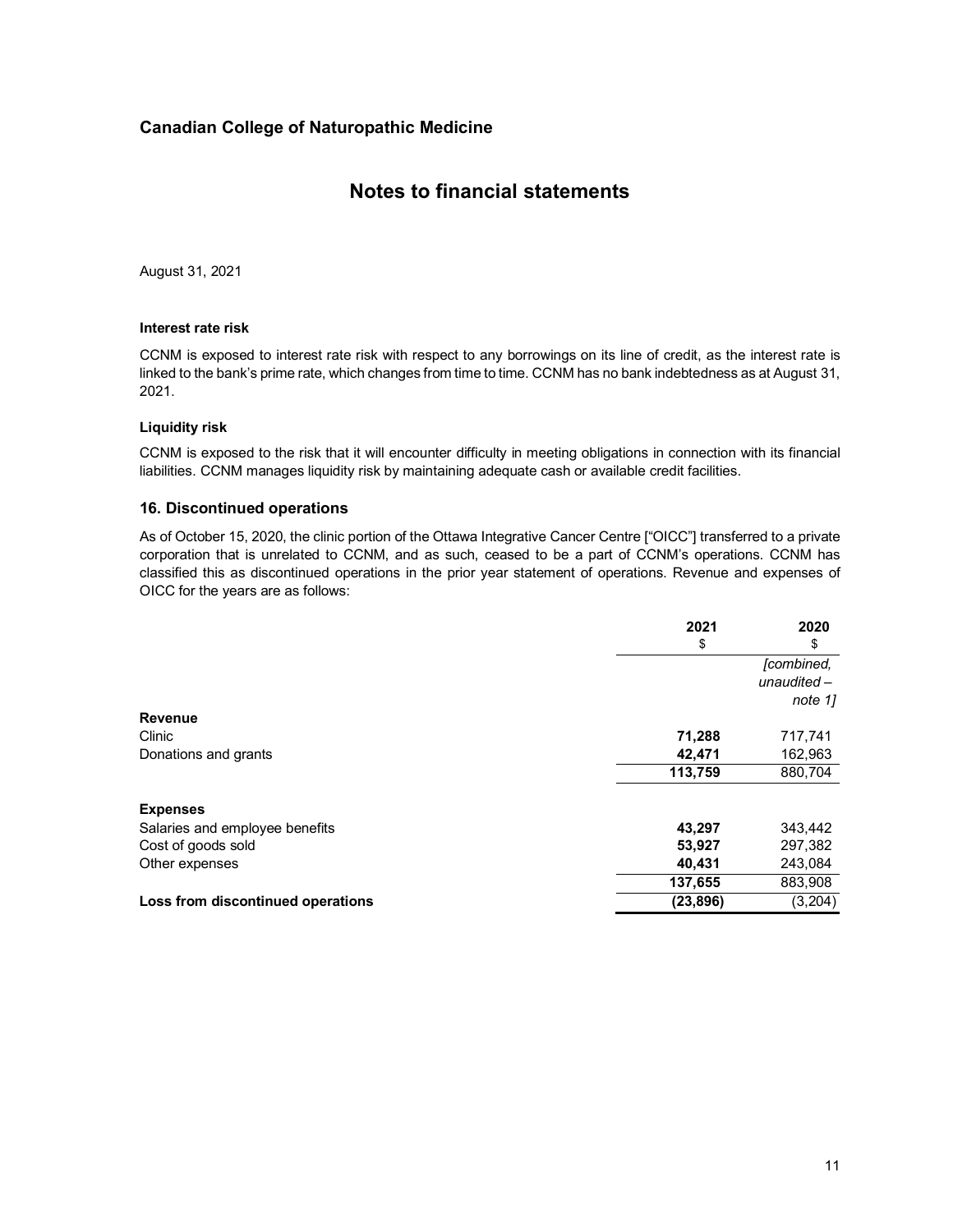### **Notes to financial statements**

August 31, 2021

#### **Interest rate risk**

CCNM is exposed to interest rate risk with respect to any borrowings on its line of credit, as the interest rate is linked to the bank's prime rate, which changes from time to time. CCNM has no bank indebtedness as at August 31, 2021.

#### **Liquidity risk**

CCNM is exposed to the risk that it will encounter difficulty in meeting obligations in connection with its financial liabilities. CCNM manages liquidity risk by maintaining adequate cash or available credit facilities.

### **16. Discontinued operations**

As of October 15, 2020, the clinic portion of the Ottawa Integrative Cancer Centre ["OICC"] transferred to a private corporation that is unrelated to CCNM, and as such, ceased to be a part of CCNM's operations. CCNM has classified this as discontinued operations in the prior year statement of operations. Revenue and expenses of OICC for the years are as follows:

|                                   | 2021<br>\$ | 2020<br>\$              |
|-----------------------------------|------------|-------------------------|
|                                   |            | [combined,              |
|                                   |            | $unaudited-$<br>note 11 |
| <b>Revenue</b>                    |            |                         |
| <b>Clinic</b>                     | 71,288     | 717,741                 |
| Donations and grants              | 42,471     | 162,963                 |
|                                   | 113,759    | 880,704                 |
| <b>Expenses</b>                   |            |                         |
| Salaries and employee benefits    | 43,297     | 343,442                 |
| Cost of goods sold                | 53,927     | 297,382                 |
| Other expenses                    | 40,431     | 243,084                 |
|                                   | 137,655    | 883,908                 |
| Loss from discontinued operations | (23, 896)  | (3,204)                 |